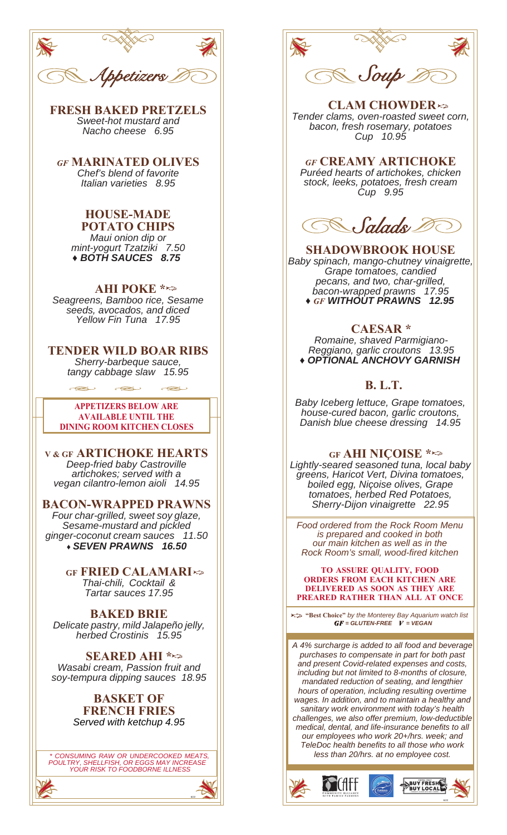

**FRESH BAKED PRETZELS** *Sweet-hot mustard and Nacho cheese 6.95*

*GF* **MARINATED OLIVES** *Chef's blend of favorite Italian varieties 8.95*

**HOUSE-MADE POTATO CHIPS** *Maui onion dip or mint-yogurt Tzatziki 7.50 ♦ BOTH SAUCES 8.75*

### **AHI POKE \***

*Seagreens, Bamboo rice, Sesame seeds, avocados, and diced Yellow Fin Tuna 17.95*

**TENDER WILD BOAR RIBS** *Sherry-barbeque sauce, tangy cabbage slaw 15.95*

**DINING ROOM KITCHEN CLOSES APPETIZERS BELOW ARE AVAILABLE UNTIL THE**

**V & GF ARTICHOKE HEARTS** *Deep-fried baby Castroville artichokes; served with a vegan cilantro-lemon aioli 14.95*

**BACON-WRAPPED PRAWNS**

*Four char-grilled, sweet soy glaze, Sesame-mustard and pickled ginger-coconut cream sauces 11.50 ♦ SEVEN PRAWNS 16.50*

> **GF FRIED CALAMARI** *Thai-chili, Cocktail & Tartar sauces 17.95*

**BAKED BRIE** *Delicate pastry, mild Jalapeño jelly, herbed Crostinis 15.95*

**SEARED AHI \*** *Wasabi cream, Passion fruit and soy-tempura dipping sauces 18.95*

#### **BASKET OF FRENCH FRIES**  *Served with ketchup 4.95*

*\* CONSUMING RAW OR UNDERCOOKED MEATS, POULTRY, SHELLFISH, OR EGGS MAY INCREASE YOUR RISK TO FOODBORNE ILLNESS*

6/22



**CLAM CHOWDER** *Tender clams, oven-roasted sweet corn, bacon, fresh rosemary, potatoes Cup 10.95*

### *GF* **CREAMY ARTICHOKE**

*Puréed hearts of artichokes, chicken stock, leeks, potatoes, fresh cream Cup 9.95*



**SHADOWBROOK HOUSE**  *Baby spinach, mango-chutney vinaigrette, Grape tomatoes, candied pecans, and two, char-grilled, bacon-wrapped prawns 17.95 ♦ GF WITHOUT PRAWNS 12.95*

### **CAESAR \***

*Romaine, shaved Parmigiano-Reggiano, garlic croutons 13.95 ♦ OPTIONAL ANCHOVY GARNISH*

## **B. L.T.**

*Baby Iceberg lettuce, Grape tomatoes, house-cured bacon, garlic croutons, Danish blue cheese dressing 14.95*

#### **GF AHI NIÇOISE \***

*Lightly-seared seasoned tuna, local baby greens, Haricot Vert, Divina tomatoes, boiled egg, Niçoise olives, Grape tomatoes, herbed Red Potatoes, Sherry-Dijon vinaigrette 22.95*

*Food ordered from the Rock Room Menu is prepared and cooked in both our main kitchen as well as in the Rock Room's small, wood-fired kitchen*

**TO ASSURE QUALITY, FOOD ORDERS FROM EACH KITCHEN ARE DELIVERED AS SOON AS THEY ARE PREARED RATHER THAN ALL AT ONCE**

*GF = GLUTEN-FREE V = VEGAN* **"Best Choice"** *by the Monterey Bay Aquarium watch list*

*A 4% surcharge is added to all food and beverage purchases to compensate in part for both past and present Covid-related expenses and costs, including but not limited to 8-months of closure, mandated reduction of seating, and lengthier hours of operation, including resulting overtime wages. In addition, and to maintain a healthy and sanitary work environment with today's health challenges, we also offer premium, low-deductible medical, dental, and life-insurance benefits to all our employees who work 20+/hrs. week; and TeleDoc health benefits to all those who work less than 20/hrs. at no employee cost.*